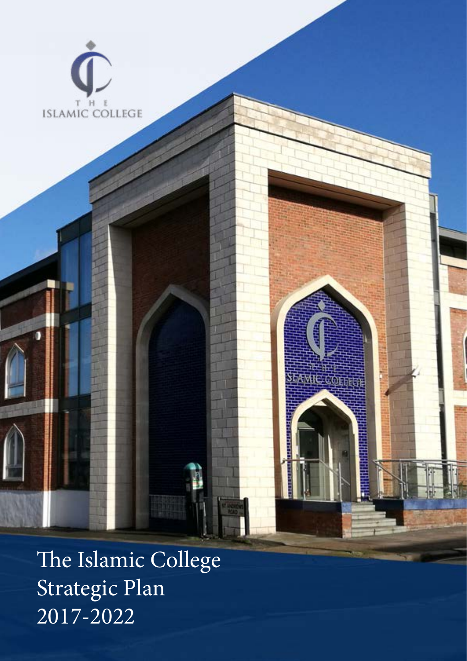

The Islamic College Strategic Plan 2017-2022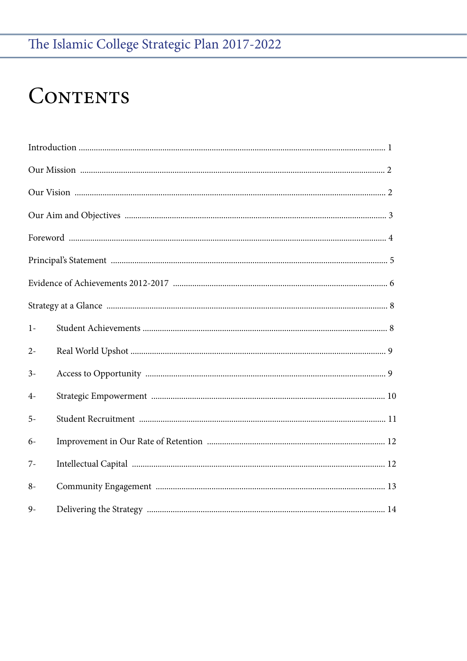## **CONTENTS**

| $1 -$ |  |  |
|-------|--|--|
| $2 -$ |  |  |
| $3-$  |  |  |
| $4-$  |  |  |
| $5-$  |  |  |
| $6-$  |  |  |
| $7 -$ |  |  |
| $8-$  |  |  |
| $9-$  |  |  |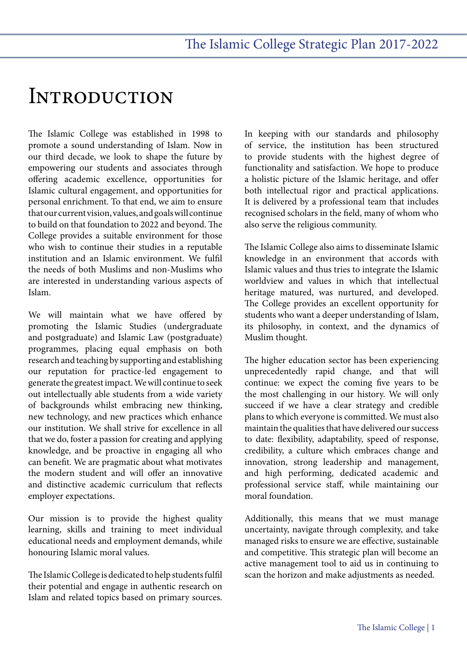## **INTRODUCTION**

The Islamic College was established in 1998 to promote a sound understanding of Islam. Now in our third decade, we look to shape the future by empowering our students and associates through offering academic excellence, opportunities for Islamic cultural engagement, and opportunities for personal enrichment. To that end, we aim to ensure that our current vision, values, and goals will continue to build on that foundation to 2022 and beyond. The College provides a suitable environment for those who wish to continue their studies in a reputable institution and an Islamic environment. We fulfil the needs of both Muslims and non-Muslims who are interested in understanding various aspects of Islam.

We will maintain what we have offered by promoting the Islamic Studies (undergraduate and postgraduate) and Islamic Law (postgraduate) programmes, placing equal emphasis on both research and teaching by supporting and establishing our reputation for practice-led engagement to generate the greatest impact. We will continue to seek out intellectually able students from a wide variety of backgrounds whilst embracing new thinking, new technology, and new practices which enhance our institution. We shall strive for excellence in all that we do, foster a passion for creating and applying knowledge, and be proactive in engaging all who can benefit. We are pragmatic about what motivates the modern student and will offer an innovative and distinctive academic curriculum that reflects employer expectations.

Our mission is to provide the highest quality learning, skills and training to meet individual educational needs and employment demands, while honouring Islamic moral values.

The Islamic College is dedicated to help students fulfil their potential and engage in authentic research on Islam and related topics based on primary sources.

In keeping with our standards and philosophy of service, the institution has been structured to provide students with the highest degree of functionality and satisfaction. We hope to produce a holistic picture of the Islamic heritage, and offer both intellectual rigor and practical applications. It is delivered by a professional team that includes recognised scholars in the field, many of whom who also serve the religious community.

The Islamic College also aims to disseminate Islamic knowledge in an environment that accords with Islamic values and thus tries to integrate the Islamic worldview and values in which that intellectual heritage matured, was nurtured, and developed. The College provides an excellent opportunity for students who want a deeper understanding of Islam, its philosophy, in context, and the dynamics of Muslim thought.

The higher education sector has been experiencing unprecedentedly rapid change, and that will continue: we expect the coming five years to be the most challenging in our history. We will only succeed if we have a clear strategy and credible plans to which everyone is committed. We must also maintain the qualities that have delivered our success to date: flexibility, adaptability, speed of response, credibility, a culture which embraces change and innovation, strong leadership and management, and high performing, dedicated academic and professional service staff, while maintaining our moral foundation.

Additionally, this means that we must manage uncertainty, navigate through complexity, and take managed risks to ensure we are effective, sustainable and competitive. This strategic plan will become an active management tool to aid us in continuing to scan the horizon and make adjustments as needed.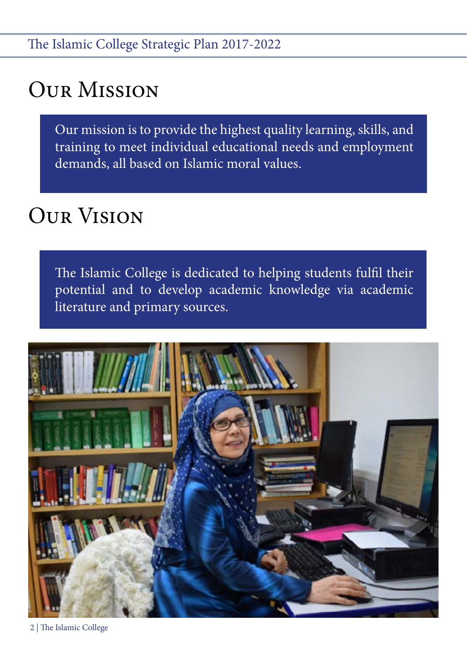## Our Mission

Our mission is to provide the highest quality learning, skills, and training to meet individual educational needs and employment demands, all based on Islamic moral values.

## Our Vision

The Islamic College is dedicated to helping students fulfil their potential and to develop academic knowledge via academic literature and primary sources.

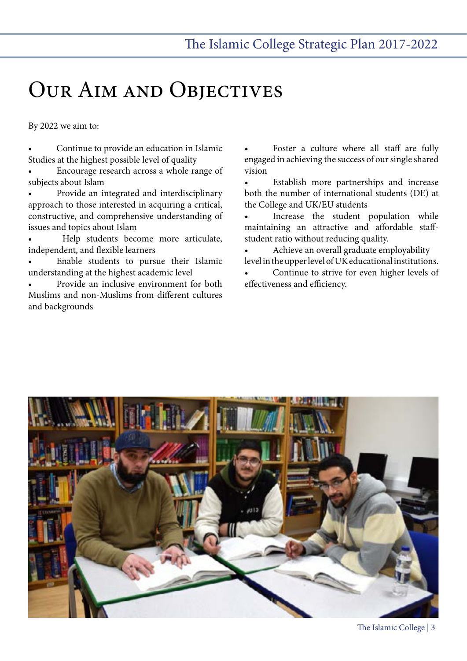## Our Aim and Objectives

By 2022 we aim to:

• Continue to provide an education in Islamic Studies at the highest possible level of quality

• Encourage research across a whole range of subjects about Islam

• Provide an integrated and interdisciplinary approach to those interested in acquiring a critical, constructive, and comprehensive understanding of issues and topics about Islam

• Help students become more articulate, independent, and flexible learners

• Enable students to pursue their Islamic understanding at the highest academic level

• Provide an inclusive environment for both Muslims and non-Muslims from different cultures and backgrounds

Foster a culture where all staff are fully engaged in achieving the success of our single shared vision

• Establish more partnerships and increase both the number of international students (DE) at the College and UK/EU students

• Increase the student population while maintaining an attractive and affordable staffstudent ratio without reducing quality.

• Achieve an overall graduate employability level in the upper level of UK educational institutions.

Continue to strive for even higher levels of effectiveness and efficiency.

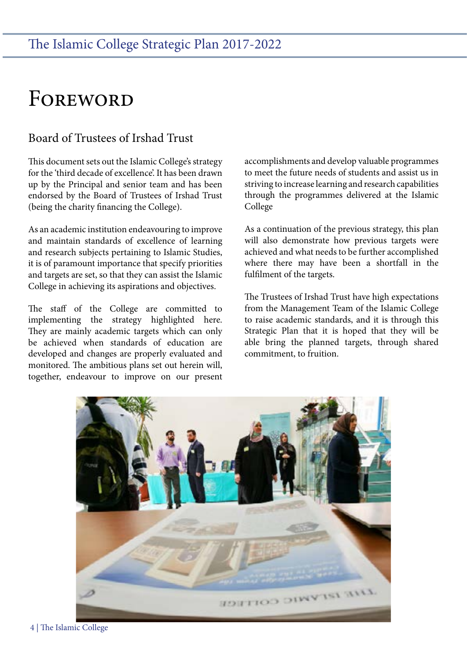## **FOREWORD**

#### Board of Trustees of Irshad Trust

This document sets out the Islamic College's strategy for the 'third decade of excellence'. It has been drawn up by the Principal and senior team and has been endorsed by the Board of Trustees of Irshad Trust (being the charity financing the College).

As an academic institution endeavouring to improve and maintain standards of excellence of learning and research subjects pertaining to Islamic Studies, it is of paramount importance that specify priorities and targets are set, so that they can assist the Islamic College in achieving its aspirations and objectives.

The staff of the College are committed to implementing the strategy highlighted here. They are mainly academic targets which can only be achieved when standards of education are developed and changes are properly evaluated and monitored. The ambitious plans set out herein will, together, endeavour to improve on our present accomplishments and develop valuable programmes to meet the future needs of students and assist us in striving to increase learning and research capabilities through the programmes delivered at the Islamic College

As a continuation of the previous strategy, this plan will also demonstrate how previous targets were achieved and what needs to be further accomplished where there may have been a shortfall in the fulfilment of the targets.

The Trustees of Irshad Trust have high expectations from the Management Team of the Islamic College to raise academic standards, and it is through this Strategic Plan that it is hoped that they will be able bring the planned targets, through shared commitment, to fruition.

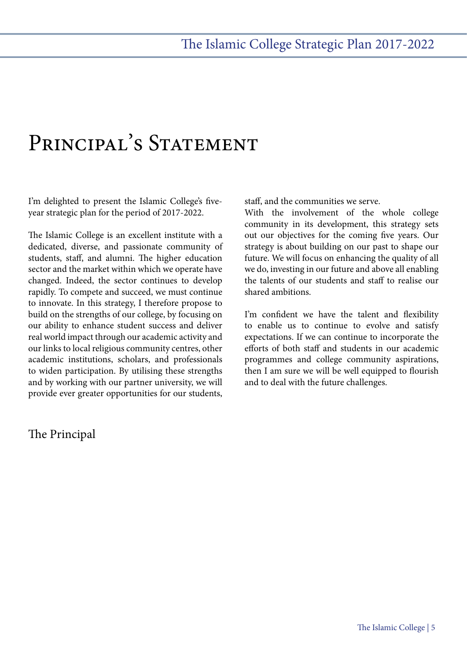## PRINCIPAL'S STATEMENT

I'm delighted to present the Islamic College's fiveyear strategic plan for the period of 2017-2022.

The Islamic College is an excellent institute with a dedicated, diverse, and passionate community of students, staff, and alumni. The higher education sector and the market within which we operate have changed. Indeed, the sector continues to develop rapidly. To compete and succeed, we must continue to innovate. In this strategy, I therefore propose to build on the strengths of our college, by focusing on our ability to enhance student success and deliver real world impact through our academic activity and our links to local religious community centres, other academic institutions, scholars, and professionals to widen participation. By utilising these strengths and by working with our partner university, we will provide ever greater opportunities for our students,

The Principal

staff, and the communities we serve.

With the involvement of the whole college community in its development, this strategy sets out our objectives for the coming five years. Our strategy is about building on our past to shape our future. We will focus on enhancing the quality of all we do, investing in our future and above all enabling the talents of our students and staff to realise our shared ambitions.

I'm confident we have the talent and flexibility to enable us to continue to evolve and satisfy expectations. If we can continue to incorporate the efforts of both staff and students in our academic programmes and college community aspirations, then I am sure we will be well equipped to flourish and to deal with the future challenges.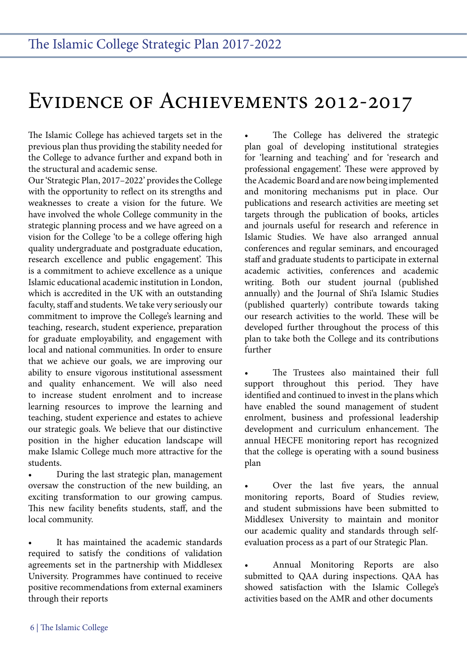## Evidence of Achievements 2012-2017

The Islamic College has achieved targets set in the previous plan thus providing the stability needed for the College to advance further and expand both in the structural and academic sense.

Our 'Strategic Plan, 2017–2022' provides the College with the opportunity to reflect on its strengths and weaknesses to create a vision for the future. We have involved the whole College community in the strategic planning process and we have agreed on a vision for the College 'to be a college offering high quality undergraduate and postgraduate education, research excellence and public engagement'. This is a commitment to achieve excellence as a unique Islamic educational academic institution in London, which is accredited in the UK with an outstanding faculty, staff and students. We take very seriously our commitment to improve the College's learning and teaching, research, student experience, preparation for graduate employability, and engagement with local and national communities. In order to ensure that we achieve our goals, we are improving our ability to ensure vigorous institutional assessment and quality enhancement. We will also need to increase student enrolment and to increase learning resources to improve the learning and teaching, student experience and estates to achieve our strategic goals. We believe that our distinctive position in the higher education landscape will make Islamic College much more attractive for the students.

• During the last strategic plan, management oversaw the construction of the new building, an exciting transformation to our growing campus. This new facility benefits students, staff, and the local community.

It has maintained the academic standards required to satisfy the conditions of validation agreements set in the partnership with Middlesex University. Programmes have continued to receive positive recommendations from external examiners through their reports

The College has delivered the strategic plan goal of developing institutional strategies for 'learning and teaching' and for 'research and professional engagement'. These were approved by the Academic Board and are now being implemented and monitoring mechanisms put in place. Our publications and research activities are meeting set targets through the publication of books, articles and journals useful for research and reference in Islamic Studies. We have also arranged annual conferences and regular seminars, and encouraged staff and graduate students to participate in external academic activities, conferences and academic writing. Both our student journal (published annually) and the Journal of Shi'a Islamic Studies (published quarterly) contribute towards taking our research activities to the world. These will be developed further throughout the process of this plan to take both the College and its contributions further

• The Trustees also maintained their full support throughout this period. They have identified and continued to invest in the plans which have enabled the sound management of student enrolment, business and professional leadership development and curriculum enhancement. The annual HECFE monitoring report has recognized that the college is operating with a sound business plan

Over the last five years, the annual monitoring reports, Board of Studies review, and student submissions have been submitted to Middlesex University to maintain and monitor our academic quality and standards through selfevaluation process as a part of our Strategic Plan.

• Annual Monitoring Reports are also submitted to QAA during inspections. QAA has showed satisfaction with the Islamic College's activities based on the AMR and other documents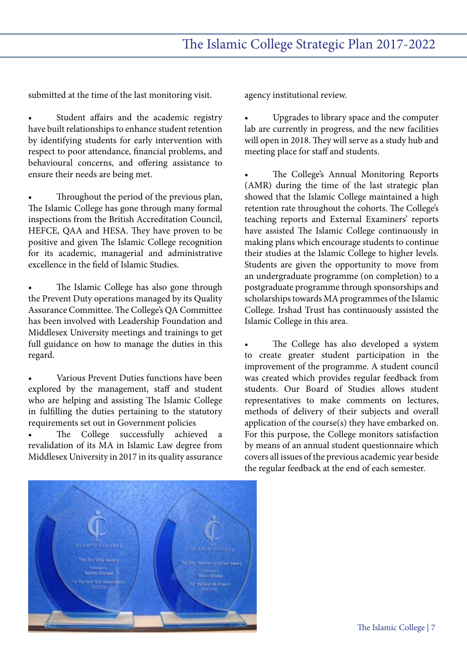submitted at the time of the last monitoring visit.

Student affairs and the academic registry have built relationships to enhance student retention by identifying students for early intervention with respect to poor attendance, financial problems, and behavioural concerns, and offering assistance to ensure their needs are being met.

• Throughout the period of the previous plan, The Islamic College has gone through many formal inspections from the British Accreditation Council, HEFCE, QAA and HESA. They have proven to be positive and given The Islamic College recognition for its academic, managerial and administrative excellence in the field of Islamic Studies.

The Islamic College has also gone through the Prevent Duty operations managed by its Quality Assurance Committee. The College's QA Committee has been involved with Leadership Foundation and Middlesex University meetings and trainings to get full guidance on how to manage the duties in this regard.

• Various Prevent Duties functions have been explored by the management, staff and student who are helping and assisting The Islamic College in fulfilling the duties pertaining to the statutory requirements set out in Government policies

The College successfully achieved a revalidation of its MA in Islamic Law degree from Middlesex University in 2017 in its quality assurance agency institutional review.

• Upgrades to library space and the computer lab are currently in progress, and the new facilities will open in 2018. They will serve as a study hub and meeting place for staff and students.

The College's Annual Monitoring Reports (AMR) during the time of the last strategic plan showed that the Islamic College maintained a high retention rate throughout the cohorts. The College's teaching reports and External Examiners' reports have assisted The Islamic College continuously in making plans which encourage students to continue their studies at the Islamic College to higher levels. Students are given the opportunity to move from an undergraduate programme (on completion) to a postgraduate programme through sponsorships and scholarships towards MA programmes of the Islamic College. Irshad Trust has continuously assisted the Islamic College in this area.

The College has also developed a system to create greater student participation in the improvement of the programme. A student council was created which provides regular feedback from students. Our Board of Studies allows student representatives to make comments on lectures, methods of delivery of their subjects and overall application of the course(s) they have embarked on. For this purpose, the College monitors satisfaction by means of an annual student questionnaire which covers all issues of the previous academic year beside the regular feedback at the end of each semester.

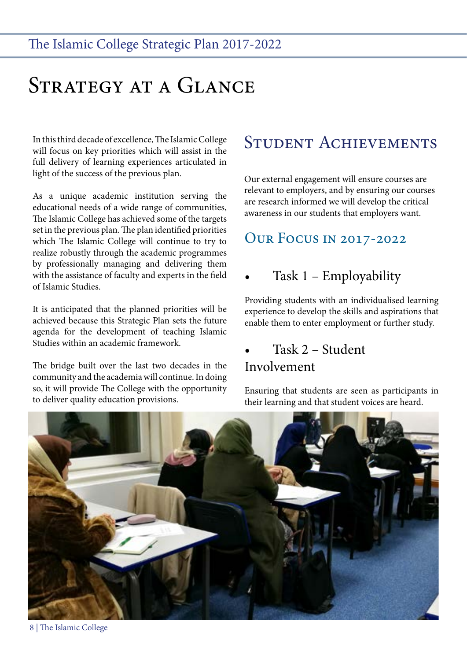## STRATEGY AT A GLANCE

In this third decade of excellence, The Islamic College will focus on key priorities which will assist in the full delivery of learning experiences articulated in light of the success of the previous plan.

As a unique academic institution serving the educational needs of a wide range of communities, The Islamic College has achieved some of the targets set in the previous plan. The plan identified priorities which The Islamic College will continue to try to realize robustly through the academic programmes by professionally managing and delivering them with the assistance of faculty and experts in the field of Islamic Studies.

It is anticipated that the planned priorities will be achieved because this Strategic Plan sets the future agenda for the development of teaching Islamic Studies within an academic framework.

The bridge built over the last two decades in the community and the academia will continue. In doing so, it will provide The College with the opportunity to deliver quality education provisions.

### Student Achievements

Our external engagement will ensure courses are relevant to employers, and by ensuring our courses are research informed we will develop the critical awareness in our students that employers want.

#### Our Focus in 2017-2022

#### • Task 1 – Employability

Providing students with an individualised learning experience to develop the skills and aspirations that enable them to enter employment or further study.

#### • Task 2 – Student Involvement

Ensuring that students are seen as participants in their learning and that student voices are heard.



8 | The Islamic College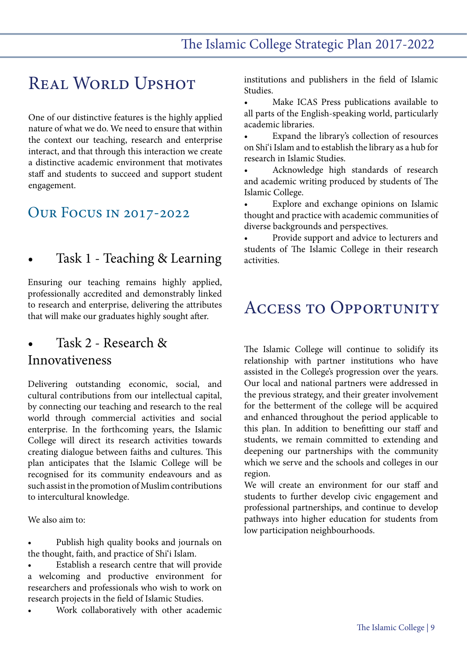### Real World Upshot

One of our distinctive features is the highly applied nature of what we do. We need to ensure that within the context our teaching, research and enterprise interact, and that through this interaction we create a distinctive academic environment that motivates staff and students to succeed and support student engagement.

#### Our Focus in 2017-2022

• Task 1 - Teaching & Learning

Ensuring our teaching remains highly applied, professionally accredited and demonstrably linked to research and enterprise, delivering the attributes that will make our graduates highly sought after.

• Task 2 - Research &

#### Innovativeness

Delivering outstanding economic, social, and cultural contributions from our intellectual capital, by connecting our teaching and research to the real world through commercial activities and social enterprise. In the forthcoming years, the Islamic College will direct its research activities towards creating dialogue between faiths and cultures. This plan anticipates that the Islamic College will be recognised for its community endeavours and as such assist in the promotion of Muslim contributions to intercultural knowledge.

We also aim to:

• Publish high quality books and journals on the thought, faith, and practice of Shi'i Islam.

Establish a research centre that will provide a welcoming and productive environment for researchers and professionals who wish to work on research projects in the field of Islamic Studies.

• Work collaboratively with other academic

institutions and publishers in the field of Islamic Studies.

• Make ICAS Press publications available to all parts of the English-speaking world, particularly academic libraries.

• Expand the library's collection of resources on Shi'i Islam and to establish the library as a hub for research in Islamic Studies.

• Acknowledge high standards of research and academic writing produced by students of The Islamic College.

• Explore and exchange opinions on Islamic thought and practice with academic communities of diverse backgrounds and perspectives.

• Provide support and advice to lecturers and students of The Islamic College in their research activities.

### Access to Opportunity

The Islamic College will continue to solidify its relationship with partner institutions who have assisted in the College's progression over the years. Our local and national partners were addressed in the previous strategy, and their greater involvement for the betterment of the college will be acquired and enhanced throughout the period applicable to this plan. In addition to benefitting our staff and students, we remain committed to extending and deepening our partnerships with the community which we serve and the schools and colleges in our region.

We will create an environment for our staff and students to further develop civic engagement and professional partnerships, and continue to develop pathways into higher education for students from low participation neighbourhoods.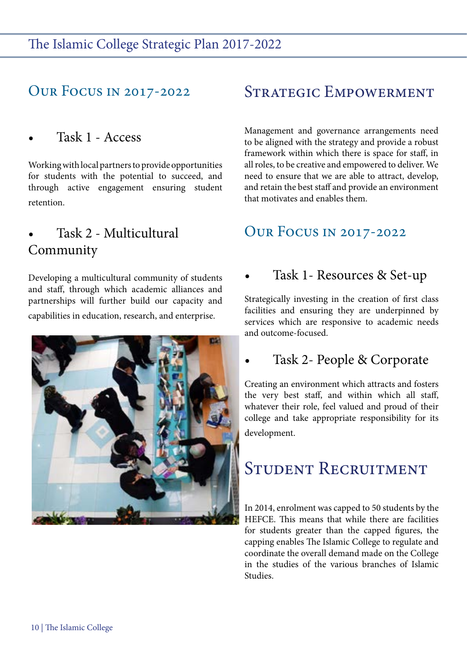#### Our Focus in 2017-2022

• Task 1 - Access

Working with local partners to provide opportunities for students with the potential to succeed, and through active engagement ensuring student retention.

#### • Task 2 - Multicultural Community

Developing a multicultural community of students and staff, through which academic alliances and partnerships will further build our capacity and capabilities in education, research, and enterprise.



#### STRATEGIC EMPOWERMENT

Management and governance arrangements need to be aligned with the strategy and provide a robust framework within which there is space for staff, in all roles, to be creative and empowered to deliver. We need to ensure that we are able to attract, develop, and retain the best staff and provide an environment that motivates and enables them.

#### Our Focus in 2017-2022

#### • Task 1- Resources & Set-up

Strategically investing in the creation of first class facilities and ensuring they are underpinned by services which are responsive to academic needs and outcome-focused.

#### • Task 2- People & Corporate

Creating an environment which attracts and fosters the very best staff, and within which all staff, whatever their role, feel valued and proud of their college and take appropriate responsibility for its development.

### STUDENT RECRUITMENT

In 2014, enrolment was capped to 50 students by the HEFCE. This means that while there are facilities for students greater than the capped figures, the capping enables The Islamic College to regulate and coordinate the overall demand made on the College in the studies of the various branches of Islamic **Studies**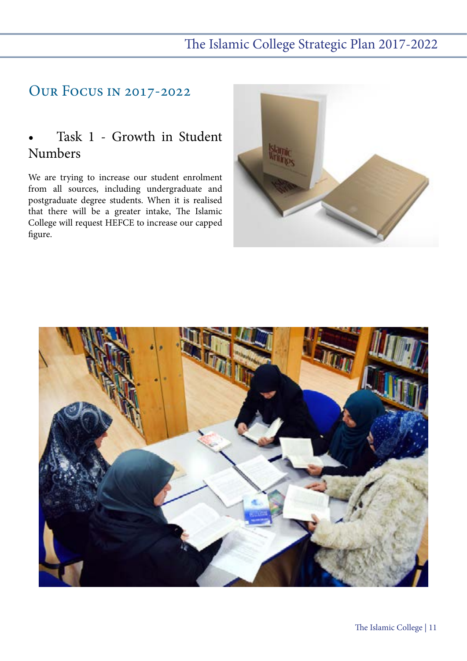#### The Islamic College Strategic Plan 2017-2022

### Our Focus in 2017-2022

#### • Task 1 - Growth in Student Numbers

We are trying to increase our student enrolment from all sources, including undergraduate and postgraduate degree students. When it is realised that there will be a greater intake, The Islamic College will request HEFCE to increase our capped figure.



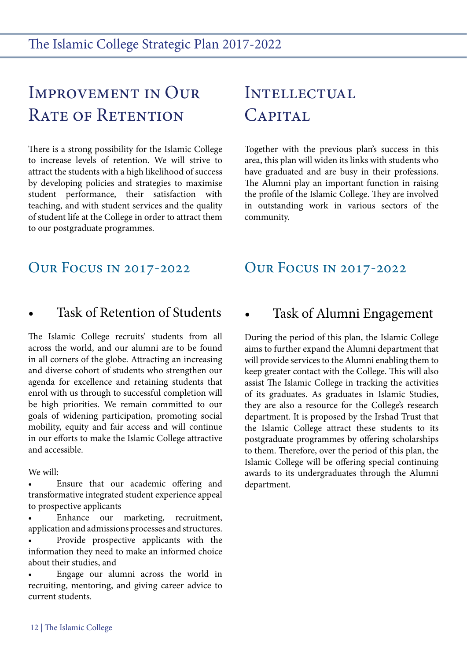### Improvement in Our RATE OF RETENTION

There is a strong possibility for the Islamic College to increase levels of retention. We will strive to attract the students with a high likelihood of success by developing policies and strategies to maximise student performance, their satisfaction with teaching, and with student services and the quality of student life at the College in order to attract them to our postgraduate programmes.

### **INTELLECTUAL**  $C$ APITAL

Together with the previous plan's success in this area, this plan will widen its links with students who have graduated and are busy in their professions. The Alumni play an important function in raising the profile of the Islamic College. They are involved in outstanding work in various sectors of the community.

#### Our Focus in 2017-2022

#### Task of Retention of Students

The Islamic College recruits' students from all across the world, and our alumni are to be found in all corners of the globe. Attracting an increasing and diverse cohort of students who strengthen our agenda for excellence and retaining students that enrol with us through to successful completion will be high priorities. We remain committed to our goals of widening participation, promoting social mobility, equity and fair access and will continue in our efforts to make the Islamic College attractive and accessible.

We will:

Ensure that our academic offering and transformative integrated student experience appeal to prospective applicants

Enhance our marketing, recruitment, application and admissions processes and structures.

• Provide prospective applicants with the information they need to make an informed choice about their studies, and

• Engage our alumni across the world in recruiting, mentoring, and giving career advice to current students.

#### Our Focus in 2017-2022

#### • Task of Alumni Engagement

During the period of this plan, the Islamic College aims to further expand the Alumni department that will provide services to the Alumni enabling them to keep greater contact with the College. This will also assist The Islamic College in tracking the activities of its graduates. As graduates in Islamic Studies, they are also a resource for the College's research department. It is proposed by the Irshad Trust that the Islamic College attract these students to its postgraduate programmes by offering scholarships to them. Therefore, over the period of this plan, the Islamic College will be offering special continuing awards to its undergraduates through the Alumni department.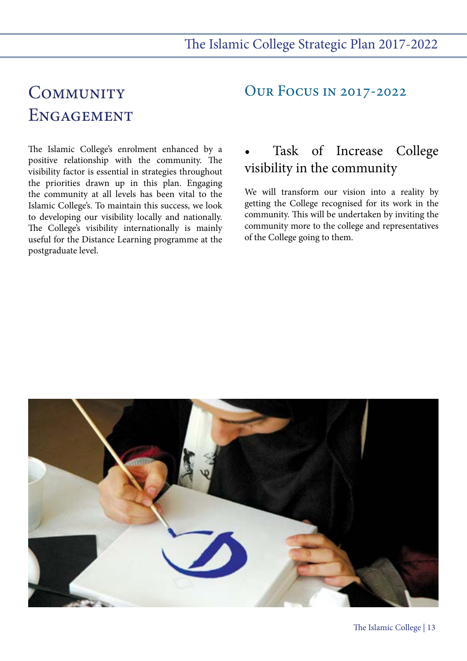### **COMMUNITY ENGAGEMENT**

The Islamic College's enrolment enhanced by a positive relationship with the community. The visibility factor is essential in strategies throughout the priorities drawn up in this plan. Engaging the community at all levels has been vital to the Islamic College's. To maintain this success, we look to developing our visibility locally and nationally. The College's visibility internationally is mainly useful for the Distance Learning programme at the postgraduate level.

#### Our Focus in 2017-2022

#### Task of Increase College visibility in the community

We will transform our vision into a reality by getting the College recognised for its work in the community. This will be undertaken by inviting the community more to the college and representatives of the College going to them.

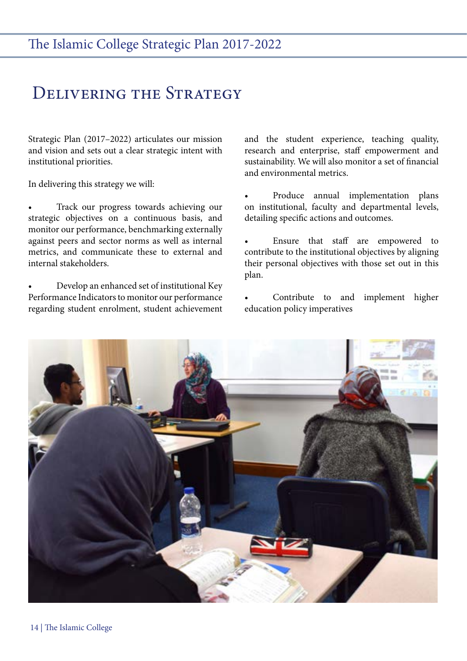### DELIVERING THE STRATEGY

Strategic Plan (2017–2022) articulates our mission and vision and sets out a clear strategic intent with institutional priorities.

In delivering this strategy we will:

• Track our progress towards achieving our strategic objectives on a continuous basis, and monitor our performance, benchmarking externally against peers and sector norms as well as internal metrics, and communicate these to external and internal stakeholders.

• Develop an enhanced set of institutional Key Performance Indicators to monitor our performance regarding student enrolment, student achievement and the student experience, teaching quality, research and enterprise, staff empowerment and sustainability. We will also monitor a set of financial and environmental metrics.

- Produce annual implementation plans on institutional, faculty and departmental levels, detailing specific actions and outcomes.
- Ensure that staff are empowered to contribute to the institutional objectives by aligning their personal objectives with those set out in this plan.
- Contribute to and implement higher education policy imperatives

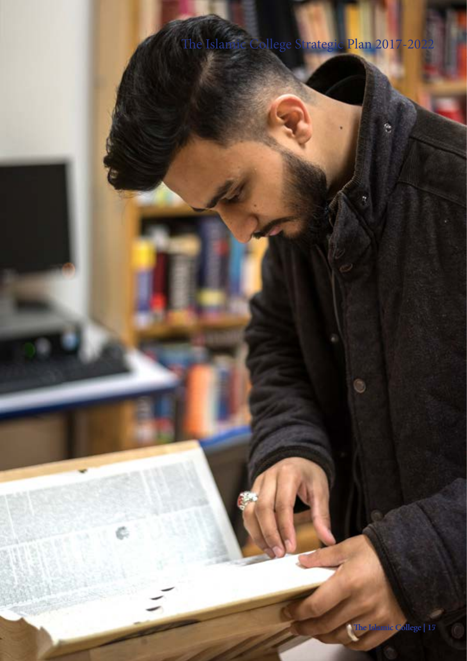# The Islamic College Strategic Plan 2017-2022

E